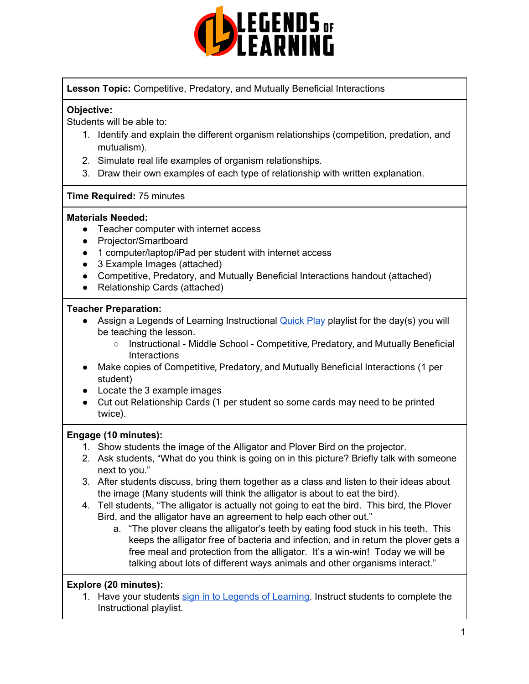

**Lesson Topic:** Competitive, Predatory, and Mutually Beneficial Interactions

# **Objective:**

Students will be able to:

- 1. Identify and explain the different organism relationships (competition, predation, and mutualism).
- 2. Simulate real life examples of organism relationships.
- 3. Draw their own examples of each type of relationship with written explanation.

### **Time Required:** 75 minutes

### **Materials Needed:**

- Teacher computer with internet access
- Projector/Smartboard
- 1 computer/laptop/iPad per student with internet access
- 3 Example Images (attached)
- Competitive, Predatory, and Mutually Beneficial Interactions handout (attached)
- Relationship Cards (attached)

# **Teacher Preparation:**

- Assign a Legends of Learning Instructional [Quick](https://intercom.help/legends-of-learning/en/articles/2701866-assigning-a-quick-play-playlist) Play playlist for the day(s) you will be teaching the lesson.
	- Instructional Middle School Competitive, Predatory, and Mutually Beneficial **Interactions**
- Make copies of Competitive, Predatory, and Mutually Beneficial Interactions (1 per student)
- Locate the 3 example images
- Cut out Relationship Cards (1 per student so some cards may need to be printed twice).

### **Engage (10 minutes):**

- 1. Show students the image of the Alligator and Plover Bird on the projector.
- 2. Ask students, "What do you think is going on in this picture? Briefly talk with someone next to you."
- 3. After students discuss, bring them together as a class and listen to their ideas about the image (Many students will think the alligator is about to eat the bird).
- 4. Tell students, "The alligator is actually not going to eat the bird. This bird, the Plover Bird, and the alligator have an agreement to help each other out."
	- a. "The plover cleans the alligator's teeth by eating food stuck in his teeth. This keeps the alligator free of bacteria and infection, and in return the plover gets a free meal and protection from the alligator. It's a win-win! Today we will be talking about lots of different ways animals and other organisms interact."

# **Explore (20 minutes):**

1. Have your students sign in to Legends of [Learning](https://intercom.help/legends-of-learning/en/articles/2154920-students-joining-a-playlist). Instruct students to complete the Instructional playlist.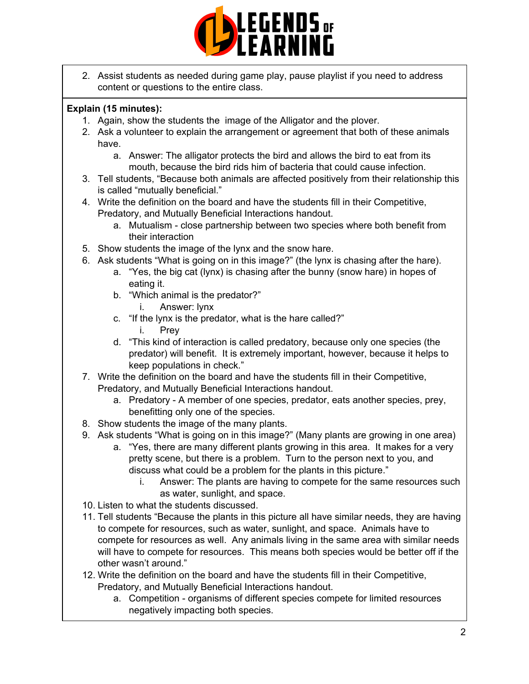

2. Assist students as needed during game play, pause playlist if you need to address content or questions to the entire class.

# **Explain (15 minutes):**

- 1. Again, show the students the image of the Alligator and the plover.
- 2. Ask a volunteer to explain the arrangement or agreement that both of these animals have.
	- a. Answer: The alligator protects the bird and allows the bird to eat from its mouth, because the bird rids him of bacteria that could cause infection.
- 3. Tell students, "Because both animals are affected positively from their relationship this is called "mutually beneficial."
- 4. Write the definition on the board and have the students fill in their Competitive, Predatory, and Mutually Beneficial Interactions handout.
	- a. Mutualism close partnership between two species where both benefit from their interaction
- 5. Show students the image of the lynx and the snow hare.
- 6. Ask students "What is going on in this image?" (the lynx is chasing after the hare).
	- a. "Yes, the big cat (lynx) is chasing after the bunny (snow hare) in hopes of eating it.
	- b. "Which animal is the predator?"
		- i. Answer: lynx
	- c. "If the lynx is the predator, what is the hare called?"
		- i. Prey
	- d. "This kind of interaction is called predatory, because only one species (the predator) will benefit. It is extremely important, however, because it helps to keep populations in check."
- 7. Write the definition on the board and have the students fill in their Competitive, Predatory, and Mutually Beneficial Interactions handout.
	- a. Predatory A member of one species, predator, eats another species, prey, benefitting only one of the species.
- 8. Show students the image of the many plants.
- 9. Ask students "What is going on in this image?" (Many plants are growing in one area)
	- a. "Yes, there are many different plants growing in this area. It makes for a very pretty scene, but there is a problem. Turn to the person next to you, and discuss what could be a problem for the plants in this picture."
		- i. Answer: The plants are having to compete for the same resources such as water, sunlight, and space.
- 10. Listen to what the students discussed.
- 11. Tell students "Because the plants in this picture all have similar needs, they are having to compete for resources, such as water, sunlight, and space. Animals have to compete for resources as well. Any animals living in the same area with similar needs will have to compete for resources. This means both species would be better off if the other wasn't around."
- 12. Write the definition on the board and have the students fill in their Competitive, Predatory, and Mutually Beneficial Interactions handout.
	- a. Competition organisms of different species compete for limited resources negatively impacting both species.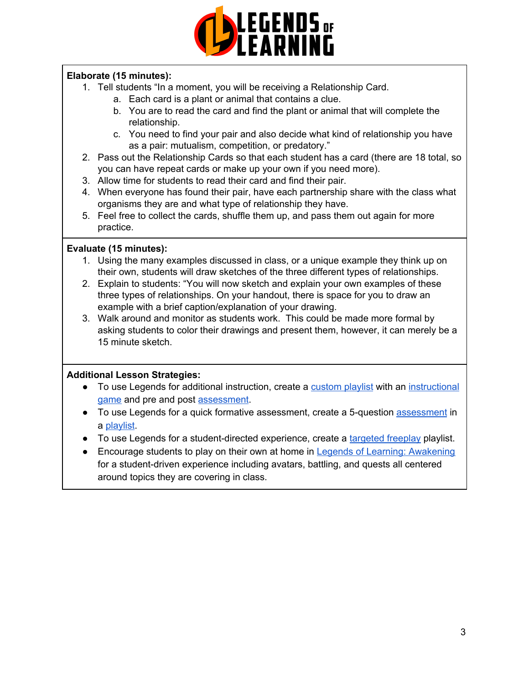

# **Elaborate (15 minutes):**

- 1. Tell students "In a moment, you will be receiving a Relationship Card.
	- a. Each card is a plant or animal that contains a clue.
	- b. You are to read the card and find the plant or animal that will complete the relationship.
	- c. You need to find your pair and also decide what kind of relationship you have as a pair: mutualism, competition, or predatory."
- 2. Pass out the Relationship Cards so that each student has a card (there are 18 total, so you can have repeat cards or make up your own if you need more).
- 3. Allow time for students to read their card and find their pair.
- 4. When everyone has found their pair, have each partnership share with the class what organisms they are and what type of relationship they have.
- 5. Feel free to collect the cards, shuffle them up, and pass them out again for more practice.

# **Evaluate (15 minutes):**

- 1. Using the many examples discussed in class, or a unique example they think up on their own, students will draw sketches of the three different types of relationships.
- 2. Explain to students: "You will now sketch and explain your own examples of these three types of relationships. On your handout, there is space for you to draw an example with a brief caption/explanation of your drawing.
- 3. Walk around and monitor as students work. This could be made more formal by asking students to color their drawings and present them, however, it can merely be a 15 minute sketch.

# **Additional Lesson Strategies:**

- To use Legends for additional instruction, create a [custom](https://intercom.help/legends-of-learning/en/articles/2154910-creating-a-playlist) playlist with an [instructional](https://intercom.help/legends-of-learning/en/articles/3505828-types-of-games) [game](https://intercom.help/legends-of-learning/en/articles/3505828-types-of-games) and pre and post [assessment](https://intercom.help/legends-of-learning/en/articles/2154913-adding-assessments-to-a-playlist).
- To use Legends for a quick formative [assessment](https://intercom.help/legends-of-learning/en/articles/2154913-adding-assessments-to-a-playlist), create a 5-question assessment in a [playlist](https://intercom.help/legends-of-learning/en/articles/2154910-creating-a-playlist).
- To use Legends for a student-directed experience, create a [targeted](https://intercom.help/legends-of-learning/en/articles/3340814-targeted-freeplay) freeplay playlist.
- Encourage students to play on their own at home in Legends of Learning: [Awakening](https://intercom.help/legends-of-learning/en/articles/2425490-legends-of-learning-awakening) for a student-driven experience including avatars, battling, and quests all centered around topics they are covering in class.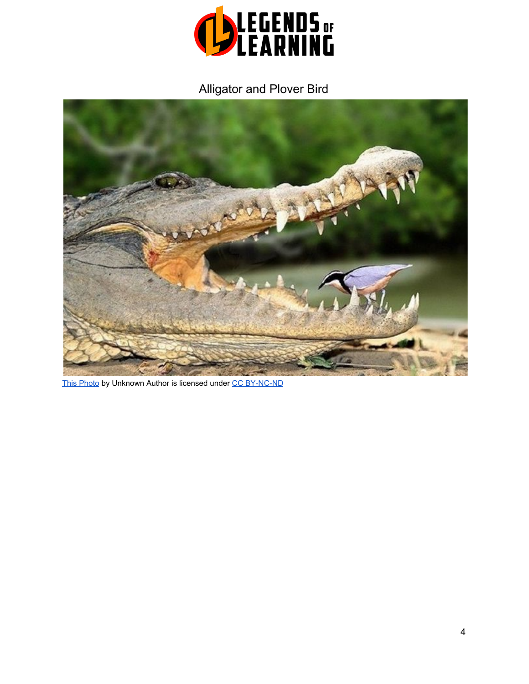

# Alligator and Plover Bird



[This Photo](http://bopstory.tistory.com/3152) by Unknown Author is licensed unde[r](https://creativecommons.org/licenses/by-nc-nd/3.0/) [CC BY-NC-ND](https://creativecommons.org/licenses/by-nc-nd/3.0/)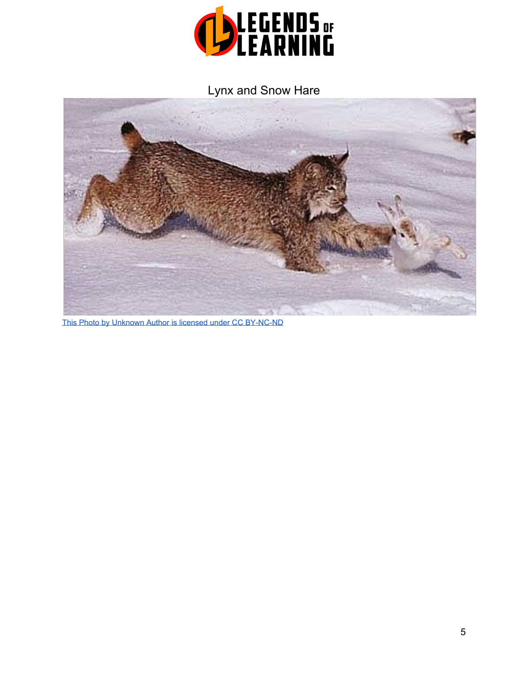

Lynx and Snow Hare



[This Photo](http://www.mirrorofaphrodite.com/2013/05/predator-or-prey-dating.html) by Unknown Author is licensed unde[r CC BY-NC-ND](https://creativecommons.org/licenses/by-nc-nd/3.0/)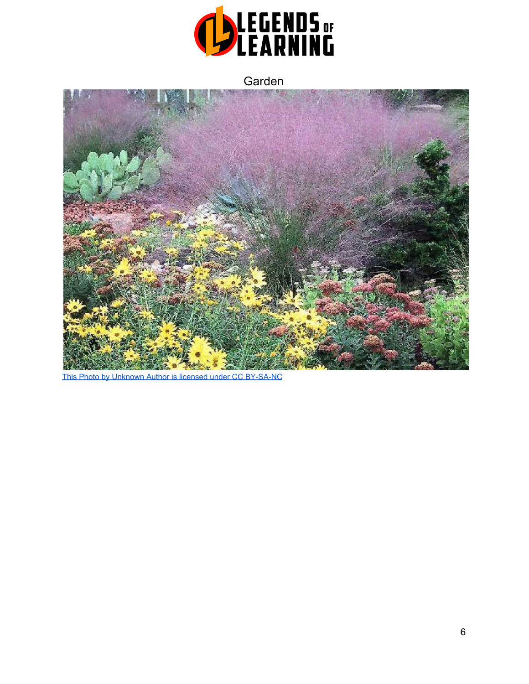

Garden



[This Photo](http://thegardensgift.blogspot.com/2006/03/xeriscape.html) by Unknown Author is licensed unde[r CC BY-SA-NC](https://creativecommons.org/licenses/by-nc-sa/3.0/)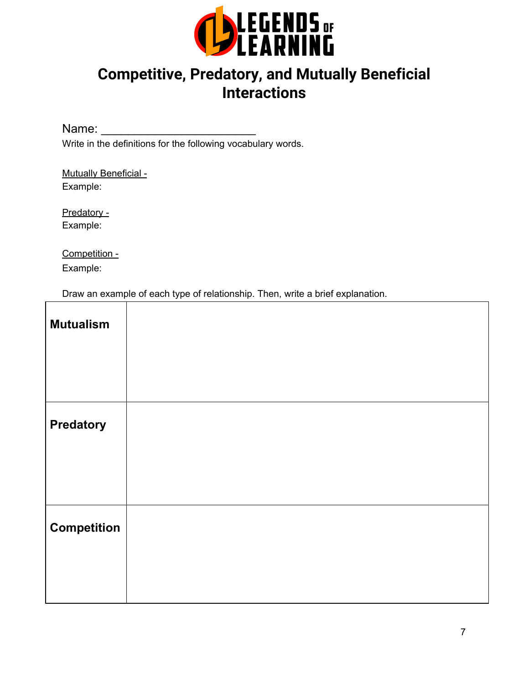

# **Competitive, Predatory, and Mutually Beneficial Interactions**

Name: \_\_\_\_\_\_\_\_\_\_\_\_\_\_\_\_\_\_\_\_\_\_\_

Write in the definitions for the following vocabulary words.

Mutually Beneficial -Example:

Predatory - Example:

Competition - Example:

Draw an example of each type of relationship. Then, write a brief explanation.

| <b>Mutualism</b>   |  |
|--------------------|--|
|                    |  |
|                    |  |
| <b>Predatory</b>   |  |
|                    |  |
|                    |  |
| <b>Competition</b> |  |
|                    |  |
|                    |  |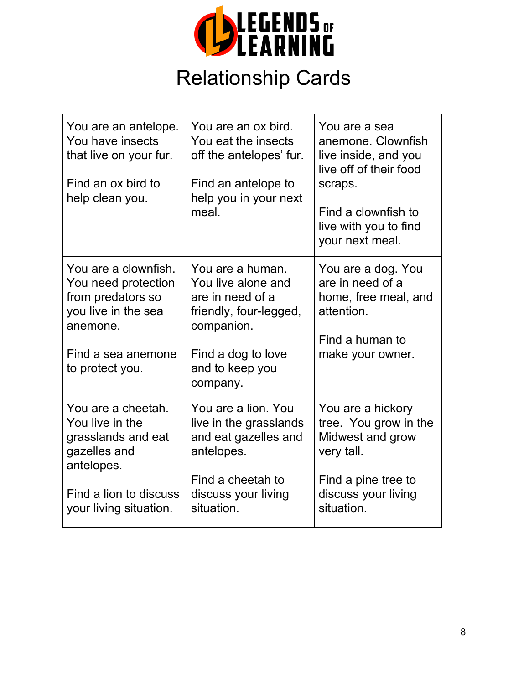

# Relationship Cards

| You are an antelope.<br>You have insects<br>that live on your fur.<br>Find an ox bird to<br>help clean you.                                   | You are an ox bird.<br>You eat the insects<br>off the antelopes' fur.<br>Find an antelope to<br>help you in your next<br>meal.                          | You are a sea<br>anemone. Clownfish<br>live inside, and you<br>live off of their food<br>scraps.<br>Find a clownfish to<br>live with you to find<br>your next meal. |
|-----------------------------------------------------------------------------------------------------------------------------------------------|---------------------------------------------------------------------------------------------------------------------------------------------------------|---------------------------------------------------------------------------------------------------------------------------------------------------------------------|
| You are a clownfish.<br>You need protection<br>from predators so<br>you live in the sea<br>anemone.<br>Find a sea anemone<br>to protect you.  | You are a human.<br>You live alone and<br>are in need of a<br>friendly, four-legged,<br>companion.<br>Find a dog to love<br>and to keep you<br>company. | You are a dog. You<br>are in need of a<br>home, free meal, and<br>attention.<br>Find a human to<br>make your owner.                                                 |
| You are a cheetah.<br>You live in the<br>grasslands and eat<br>gazelles and<br>antelopes.<br>Find a lion to discuss<br>your living situation. | You are a lion. You<br>live in the grasslands<br>and eat gazelles and<br>antelopes.<br>Find a cheetah to<br>discuss your living<br>situation.           | You are a hickory<br>tree. You grow in the<br>Midwest and grow<br>very tall.<br>Find a pine tree to<br>discuss your living<br>situation.                            |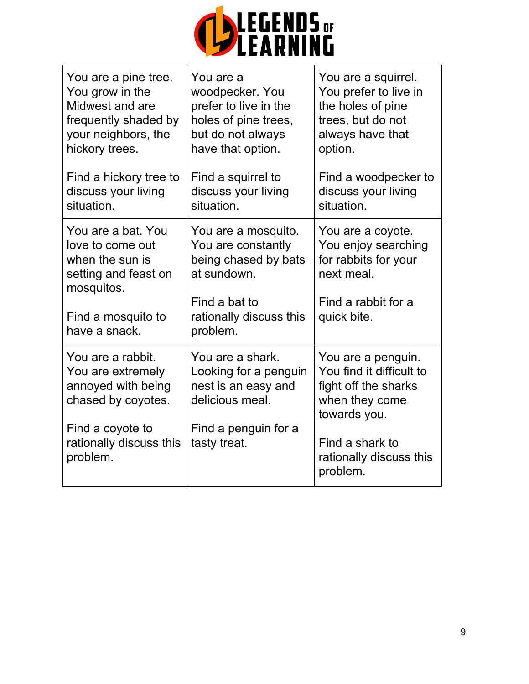

| You are a pine tree.<br>You grow in the<br>Midwest and are<br>frequently shaded by<br>your neighbors, the<br>hickory trees. | You are a<br>woodpecker. You<br>prefer to live in the<br>holes of pine trees,<br>but do not always<br>have that option. | You are a squirrel.<br>You prefer to live in<br>the holes of pine<br>trees, but do not<br>always have that<br>option. |
|-----------------------------------------------------------------------------------------------------------------------------|-------------------------------------------------------------------------------------------------------------------------|-----------------------------------------------------------------------------------------------------------------------|
| Find a hickory tree to<br>discuss your living<br>situation.                                                                 | Find a squirrel to<br>discuss your living<br>situation.                                                                 | Find a woodpecker to<br>discuss your living<br>situation.                                                             |
| You are a bat. You<br>love to come out<br>when the sun is<br>setting and feast on<br>mosquitos.                             | You are a mosquito.<br>You are constantly<br>being chased by bats<br>at sundown.                                        | You are a coyote.<br>You enjoy searching<br>for rabbits for your<br>next meal.                                        |
| Find a mosquito to<br>have a snack.                                                                                         | Find a bat to<br>rationally discuss this<br>problem.                                                                    | Find a rabbit for a<br>quick bite.                                                                                    |
| You are a rabbit.<br>You are extremely<br>annoyed with being<br>chased by coyotes.                                          | You are a shark.<br>Looking for a penguin<br>nest is an easy and<br>delicious meal.                                     | You are a penguin.<br>You find it difficult to<br>fight off the sharks<br>when they come<br>towards you.              |
| Find a coyote to<br>rationally discuss this<br>problem.                                                                     | Find a penguin for a<br>tasty treat.                                                                                    | Find a shark to<br>rationally discuss this<br>problem.                                                                |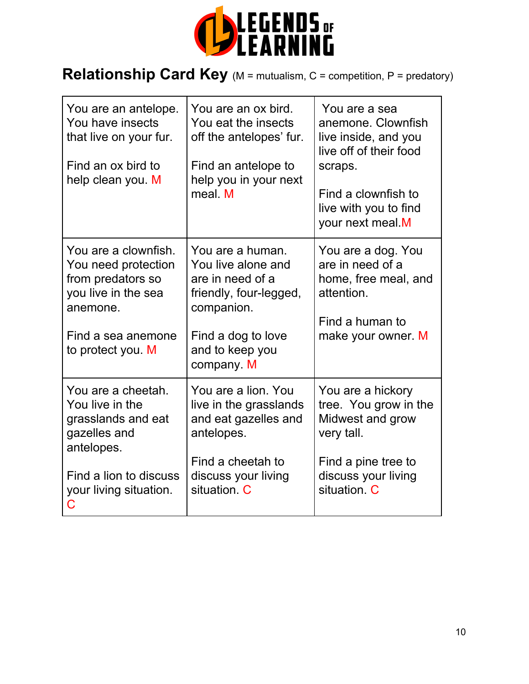

# **Relationship Card Key** (M = mutualism, C = competition, P = predatory)

| You are an antelope.<br>You have insects<br>that live on your fur.<br>Find an ox bird to<br>help clean you. M                                      | You are an ox bird.<br>You eat the insects<br>off the antelopes' fur.<br>Find an antelope to<br>help you in your next<br>meal M                           | You are a sea<br>anemone. Clownfish<br>live inside, and you<br>live off of their food<br>scraps.<br>Find a clownfish to<br>live with you to find<br>your next meal.M |
|----------------------------------------------------------------------------------------------------------------------------------------------------|-----------------------------------------------------------------------------------------------------------------------------------------------------------|----------------------------------------------------------------------------------------------------------------------------------------------------------------------|
| You are a clownfish.<br>You need protection<br>from predators so<br>you live in the sea<br>anemone.<br>Find a sea anemone<br>to protect you. M     | You are a human.<br>You live alone and<br>are in need of a<br>friendly, four-legged,<br>companion.<br>Find a dog to love<br>and to keep you<br>company. M | You are a dog. You<br>are in need of a<br>home, free meal, and<br>attention.<br>Find a human to<br>make your owner. M                                                |
| You are a cheetah.<br>You live in the<br>grasslands and eat<br>gazelles and<br>antelopes.<br>Find a lion to discuss<br>your living situation.<br>C | You are a lion. You<br>live in the grasslands<br>and eat gazelles and<br>antelopes.<br>Find a cheetah to<br>discuss your living<br>situation C            | You are a hickory<br>tree. You grow in the<br>Midwest and grow<br>very tall.<br>Find a pine tree to<br>discuss your living<br>situation C                            |